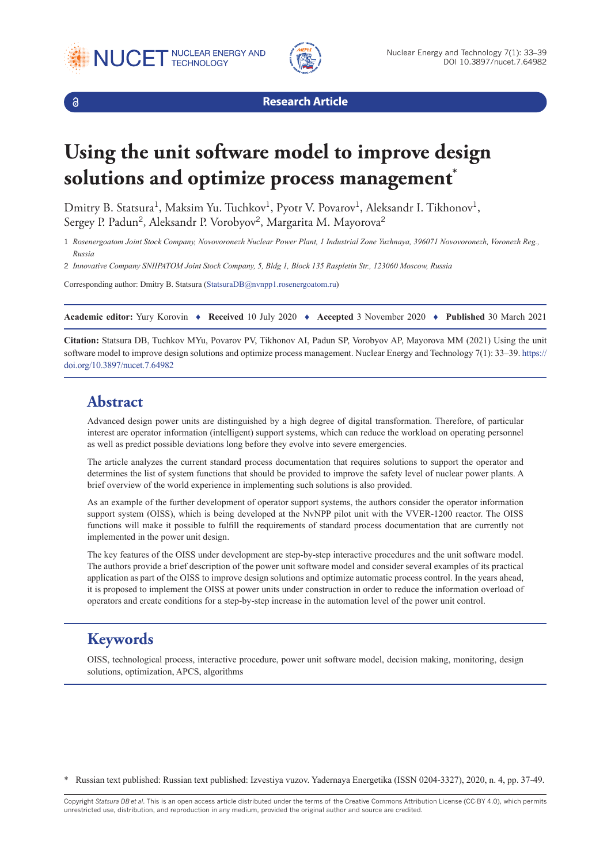





**Research Article**

# **Using the unit software model to improve design solutions and optimize process management\***

Dmitry B. Statsura<sup>1</sup>, Maksim Yu. Tuchkov<sup>1</sup>, Pyotr V. Povarov<sup>1</sup>, Aleksandr I. Tikhonov<sup>1</sup>, Sergey P. Padun<sup>2</sup>, Aleksandr P. Vorobyov<sup>2</sup>, Margarita M. Mayorova<sup>2</sup>

1 *Rosenergoatom Joint Stock Company, Novovoronezh Nuclear Power Plant, 1 Industrial Zone Yuzhnaya, 396071 Novovoronezh, Voronezh Reg., Russia*

2 *Innovative Company SNIIPATOM Joint Stock Company, 5, Bldg 1, Block 135 Raspletin Str., 123060 Moscow, Russia*

Corresponding author: Dmitry B. Statsura [\(StatsuraDB@nvnpp1.rosenergoatom.ru\)](mailto:StatsuraDB@nvnpp1.rosenergoatom.ru)

**Academic editor:** Yury Korovin ♦ **Received** 10 July 2020 ♦ **Accepted** 3 November 2020 ♦ **Published** 30 March 2021

**Citation:** Statsura DB, Tuchkov MYu, Povarov PV, Tikhonov AI, Padun SP, Vorobyov AP, Mayorova MM (2021) Using the unit software model to improve design solutions and optimize process management. Nuclear Energy and Technology 7(1): 33–39. [https://](https://doi.org/10.3897/nucet.7.64982) [doi.org/10.3897/nucet.7.64982](https://doi.org/10.3897/nucet.7.64982)

#### **Abstract**

Advanced design power units are distinguished by a high degree of digital transformation. Therefore, of particular interest are operator information (intelligent) support systems, which can reduce the workload on operating personnel as well as predict possible deviations long before they evolve into severe emergencies.

The article analyzes the current standard process documentation that requires solutions to support the operator and determines the list of system functions that should be provided to improve the safety level of nuclear power plants. A brief overview of the world experience in implementing such solutions is also provided.

As an example of the further development of operator support systems, the authors consider the operator information support system (OISS), which is being developed at the NvNPP pilot unit with the VVER-1200 reactor. The OISS functions will make it possible to fulfill the requirements of standard process documentation that are currently not implemented in the power unit design.

The key features of the OISS under development are step-by-step interactive procedures and the unit software model. The authors provide a brief description of the power unit software model and consider several examples of its practical application as part of the OISS to improve design solutions and optimize automatic process control. In the years ahead, it is proposed to implement the OISS at power units under construction in order to reduce the information overload of operators and create conditions for a step-by-step increase in the automation level of the power unit control.

# **Keywords**

OISS, technological process, interactive procedure, power unit software model, decision making, monitoring, design solutions, optimization, APCS, algorithms

\* Russian text published: Russian text published: Izvestiya vuzov. Yadernaya Energetika (ISSN 0204-3327), 2020, n. 4, pp. 37-49.

Copyright *Statsura DB et al.* This is an open access article distributed under the terms of the Creative Commons Attribution License (CC-BY 4.0), which permits unrestricted use, distribution, and reproduction in any medium, provided the original author and source are credited.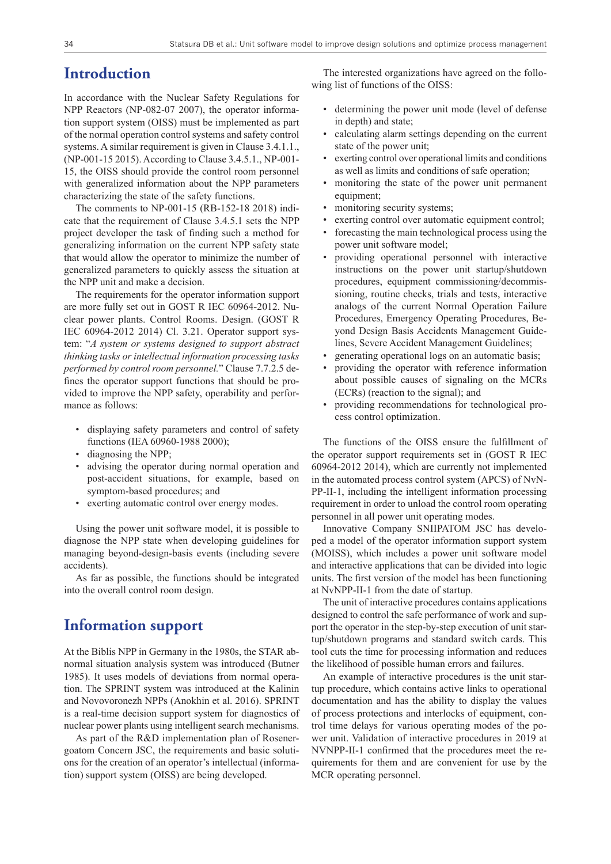#### **Introduction**

In accordance with the Nuclear Safety Regulations for NPP Reactors (NP-082-07 2007), the operator information support system (OISS) must be implemented as part of the normal operation control systems and safety control systems. A similar requirement is given in Clause 3.4.1.1., (NP-001-15 2015). According to Clause 3.4.5.1., NP-001- 15, the OISS should provide the control room personnel with generalized information about the NPP parameters characterizing the state of the safety functions.

The comments to NP-001-15 (RB-152-18 2018) indicate that the requirement of Clause 3.4.5.1 sets the NPP project developer the task of finding such a method for generalizing information on the current NPP safety state that would allow the operator to minimize the number of generalized parameters to quickly assess the situation at the NPP unit and make a decision.

The requirements for the operator information support are more fully set out in GOST R IEC 60964-2012. Nuclear power plants. Control Rooms. Design. (GOST R IEC 60964-2012 2014) Cl. 3.21. Operator support system: "*A system or systems designed to support abstract thinking tasks or intellectual information processing tasks performed by control room personnel.*" Clause 7.7.2.5 defines the operator support functions that should be provided to improve the NPP safety, operability and performance as follows:

- displaying safety parameters and control of safety functions (IEA 60960-1988 2000);
- diagnosing the NPP;
- advising the operator during normal operation and post-accident situations, for example, based on symptom-based procedures; and
- exerting automatic control over energy modes.

Using the power unit software model, it is possible to diagnose the NPP state when developing guidelines for managing beyond-design-basis events (including severe accidents).

As far as possible, the functions should be integrated into the overall control room design.

#### **Information support**

At the Biblis NPP in Germany in the 1980s, the STAR abnormal situation analysis system was introduced (Butner 1985). It uses models of deviations from normal operation. The SPRINT system was introduced at the Kalinin and Novovoronezh NPPs (Anokhin et al. 2016). SPRINT is a real-time decision support system for diagnostics of nuclear power plants using intelligent search mechanisms.

As part of the R&D implementation plan of Rosenergoatom Concern JSC, the requirements and basic solutions for the creation of an operator's intellectual (information) support system (OISS) are being developed.

The interested organizations have agreed on the following list of functions of the OISS:

- determining the power unit mode (level of defense in depth) and state;
- calculating alarm settings depending on the current state of the power unit;
- exerting control over operational limits and conditions as well as limits and conditions of safe operation;
- monitoring the state of the power unit permanent equipment;
- monitoring security systems;
- exerting control over automatic equipment control;
- forecasting the main technological process using the power unit software model;
- providing operational personnel with interactive instructions on the power unit startup/shutdown procedures, equipment commissioning/decommissioning, routine checks, trials and tests, interactive analogs of the current Normal Operation Failure Procedures, Emergency Operating Procedures, Beyond Design Basis Accidents Management Guidelines, Severe Accident Management Guidelines;
- generating operational logs on an automatic basis;
- providing the operator with reference information about possible causes of signaling on the MCRs (ECRs) (reaction to the signal); and
- providing recommendations for technological process control optimization.

The functions of the OISS ensure the fulfillment of the operator support requirements set in (GOST R IEC 60964-2012 2014), which are currently not implemented in the automated process control system (APCS) of NvN-PP-II-1, including the intelligent information processing requirement in order to unload the control room operating personnel in all power unit operating modes.

Innovative Company SNIIPATOM JSC has developed a model of the operator information support system (MOISS), which includes a power unit software model and interactive applications that can be divided into logic units. The first version of the model has been functioning at NvNPP-II-1 from the date of startup.

The unit of interactive procedures contains applications designed to control the safe performance of work and support the operator in the step-by-step execution of unit startup/shutdown programs and standard switch cards. This tool cuts the time for processing information and reduces the likelihood of possible human errors and failures.

An example of interactive procedures is the unit startup procedure, which contains active links to operational documentation and has the ability to display the values of process protections and interlocks of equipment, control time delays for various operating modes of the power unit. Validation of interactive procedures in 2019 at NVNPP-II-1 confirmed that the procedures meet the requirements for them and are convenient for use by the MCR operating personnel.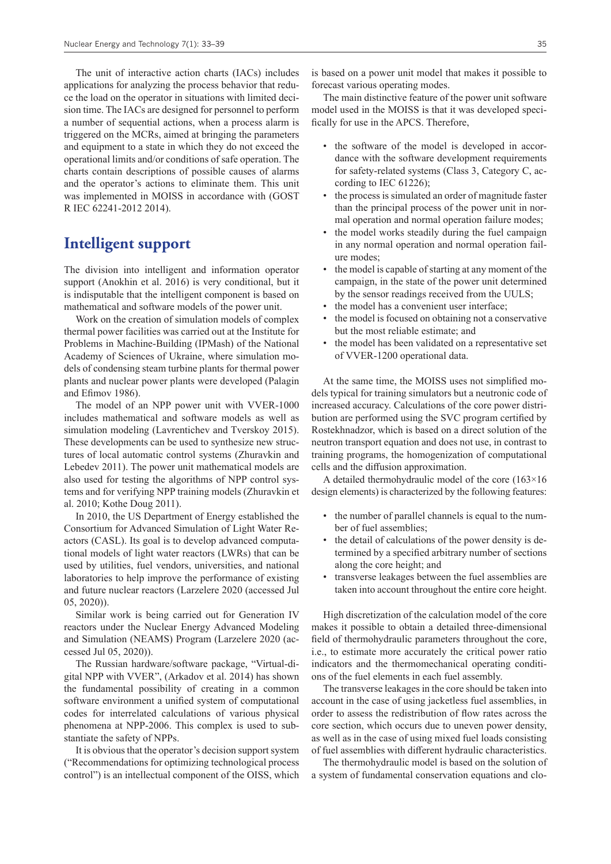The unit of interactive action charts (IACs) includes applications for analyzing the process behavior that reduce the load on the operator in situations with limited decision time. The IACs are designed for personnel to perform a number of sequential actions, when a process alarm is triggered on the MCRs, aimed at bringing the parameters and equipment to a state in which they do not exceed the operational limits and/or conditions of safe operation. The charts contain descriptions of possible causes of alarms and the operator's actions to eliminate them. This unit was implemented in MOISS in accordance with (GOST R IEC 62241-2012 2014).

# **Intelligent support**

The division into intelligent and information operator support (Anokhin et al. 2016) is very conditional, but it is indisputable that the intelligent component is based on mathematical and software models of the power unit.

Work on the creation of simulation models of complex thermal power facilities was carried out at the Institute for Problems in Machine-Building (IPMash) of the National Academy of Sciences of Ukraine, where simulation models of condensing steam turbine plants for thermal power plants and nuclear power plants were developed (Palagin and Efimov 1986).

The model of an NPP power unit with VVER-1000 includes mathematical and software models as well as simulation modeling (Lavrentichev and Tverskoy 2015). These developments can be used to synthesize new structures of local automatic control systems (Zhuravkin and Lebedev 2011). The power unit mathematical models are also used for testing the algorithms of NPP control systems and for verifying NPP training models (Zhuravkin et al. 2010; Kothe Doug 2011).

In 2010, the US Department of Energy established the Consortium for Advanced Simulation of Light Water Reactors (CASL). Its goal is to develop advanced computational models of light water reactors (LWRs) that can be used by utilities, fuel vendors, universities, and national laboratories to help improve the performance of existing and future nuclear reactors (Larzelere 2020 (accessed Jul 05, 2020)).

Similar work is being carried out for Generation IV reactors under the Nuclear Energy Advanced Modeling and Simulation (NEAMS) Program (Larzelere 2020 (accessed Jul 05, 2020)).

The Russian hardware/software package, "Virtual-digital NPP with VVER", (Arkadov et al. 2014) has shown the fundamental possibility of creating in a common software environment a unified system of computational codes for interrelated calculations of various physical phenomena at NPP-2006. This complex is used to substantiate the safety of NPPs.

It is obvious that the operator's decision support system ("Recommendations for optimizing technological process control") is an intellectual component of the OISS, which is based on a power unit model that makes it possible to forecast various operating modes.

The main distinctive feature of the power unit software model used in the MOISS is that it was developed specifically for use in the APCS. Therefore,

- the software of the model is developed in accordance with the software development requirements for safety-related systems (Class 3, Category C, according to IEC 61226);
- the process is simulated an order of magnitude faster than the principal process of the power unit in normal operation and normal operation failure modes;
- the model works steadily during the fuel campaign in any normal operation and normal operation failure modes;
- the model is capable of starting at any moment of the campaign, in the state of the power unit determined by the sensor readings received from the UULS;
- the model has a convenient user interface;
- the model is focused on obtaining not a conservative but the most reliable estimate; and
- the model has been validated on a representative set of VVER-1200 operational data.

At the same time, the MOISS uses not simplified models typical for training simulators but a neutronic code of increased accuracy. Calculations of the core power distribution are performed using the SVC program certified by Rostekhnadzor, which is based on a direct solution of the neutron transport equation and does not use, in contrast to training programs, the homogenization of computational cells and the diffusion approximation.

A detailed thermohydraulic model of the core (163×16 design elements) is characterized by the following features:

- the number of parallel channels is equal to the number of fuel assemblies;
- the detail of calculations of the power density is determined by a specified arbitrary number of sections along the core height; and
- transverse leakages between the fuel assemblies are taken into account throughout the entire core height.

High discretization of the calculation model of the core makes it possible to obtain a detailed three-dimensional field of thermohydraulic parameters throughout the core, i.e., to estimate more accurately the critical power ratio indicators and the thermomechanical operating conditions of the fuel elements in each fuel assembly.

The transverse leakages in the core should be taken into account in the case of using jacketless fuel assemblies, in order to assess the redistribution of flow rates across the core section, which occurs due to uneven power density, as well as in the case of using mixed fuel loads consisting of fuel assemblies with different hydraulic characteristics.

The thermohydraulic model is based on the solution of a system of fundamental conservation equations and clo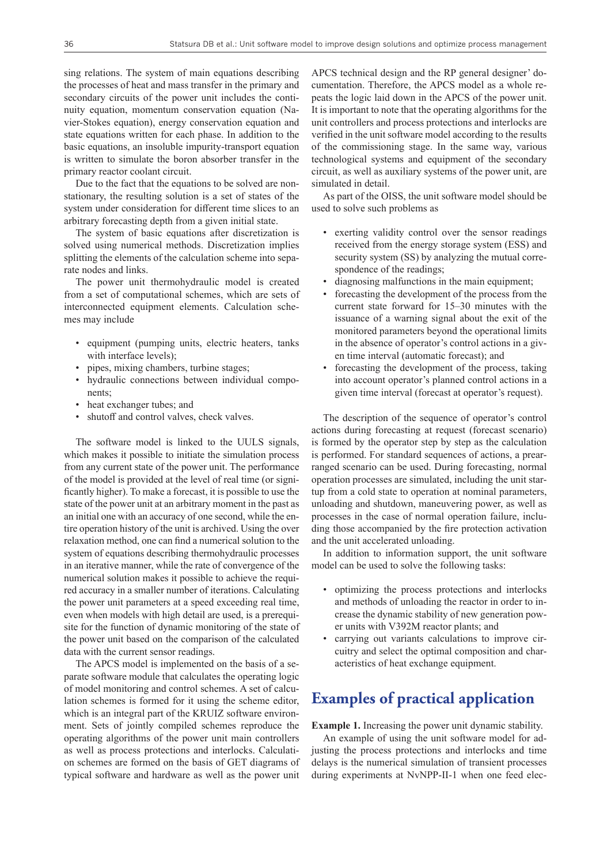sing relations. The system of main equations describing the processes of heat and mass transfer in the primary and secondary circuits of the power unit includes the continuity equation, momentum conservation equation (Navier-Stokes equation), energy conservation equation and state equations written for each phase. In addition to the basic equations, an insoluble impurity-transport equation is written to simulate the boron absorber transfer in the primary reactor coolant circuit.

Due to the fact that the equations to be solved are nonstationary, the resulting solution is a set of states of the system under consideration for different time slices to an arbitrary forecasting depth from a given initial state.

The system of basic equations after discretization is solved using numerical methods. Discretization implies splitting the elements of the calculation scheme into separate nodes and links.

The power unit thermohydraulic model is created from a set of computational schemes, which are sets of interconnected equipment elements. Calculation schemes may include

- equipment (pumping units, electric heaters, tanks with interface levels);
- pipes, mixing chambers, turbine stages;
- hydraulic connections between individual components;
- heat exchanger tubes; and
- shutoff and control valves, check valves.

The software model is linked to the UULS signals, which makes it possible to initiate the simulation process from any current state of the power unit. The performance of the model is provided at the level of real time (or significantly higher). To make a forecast, it is possible to use the state of the power unit at an arbitrary moment in the past as an initial one with an accuracy of one second, while the entire operation history of the unit is archived. Using the over relaxation method, one can find a numerical solution to the system of equations describing thermohydraulic processes in an iterative manner, while the rate of convergence of the numerical solution makes it possible to achieve the required accuracy in a smaller number of iterations. Calculating the power unit parameters at a speed exceeding real time, even when models with high detail are used, is a prerequisite for the function of dynamic monitoring of the state of the power unit based on the comparison of the calculated data with the current sensor readings.

The APCS model is implemented on the basis of a separate software module that calculates the operating logic of model monitoring and control schemes. A set of calculation schemes is formed for it using the scheme editor, which is an integral part of the KRUIZ software environment. Sets of jointly compiled schemes reproduce the operating algorithms of the power unit main controllers as well as process protections and interlocks. Calculation schemes are formed on the basis of GET diagrams of typical software and hardware as well as the power unit

APCS technical design and the RP general designer' documentation. Therefore, the APCS model as a whole repeats the logic laid down in the APCS of the power unit. It is important to note that the operating algorithms for the unit controllers and process protections and interlocks are verified in the unit software model according to the results of the commissioning stage. In the same way, various technological systems and equipment of the secondary circuit, as well as auxiliary systems of the power unit, are simulated in detail.

As part of the OISS, the unit software model should be used to solve such problems as

- exerting validity control over the sensor readings received from the energy storage system (ESS) and security system (SS) by analyzing the mutual correspondence of the readings;
- diagnosing malfunctions in the main equipment;
- forecasting the development of the process from the current state forward for 15–30 minutes with the issuance of a warning signal about the exit of the monitored parameters beyond the operational limits in the absence of operator's control actions in a given time interval (automatic forecast); and
- forecasting the development of the process, taking into account operator's planned control actions in a given time interval (forecast at operator's request).

The description of the sequence of operator's control actions during forecasting at request (forecast scenario) is formed by the operator step by step as the calculation is performed. For standard sequences of actions, a prearranged scenario can be used. During forecasting, normal operation processes are simulated, including the unit startup from a cold state to operation at nominal parameters, unloading and shutdown, maneuvering power, as well as processes in the case of normal operation failure, including those accompanied by the fire protection activation and the unit accelerated unloading.

In addition to information support, the unit software model can be used to solve the following tasks:

- optimizing the process protections and interlocks and methods of unloading the reactor in order to increase the dynamic stability of new generation power units with V392M reactor plants; and
- carrying out variants calculations to improve circuitry and select the optimal composition and characteristics of heat exchange equipment.

# **Examples of practical application**

**Example 1.** Increasing the power unit dynamic stability.

An example of using the unit software model for adjusting the process protections and interlocks and time delays is the numerical simulation of transient processes during experiments at NvNPP-II-1 when one feed elec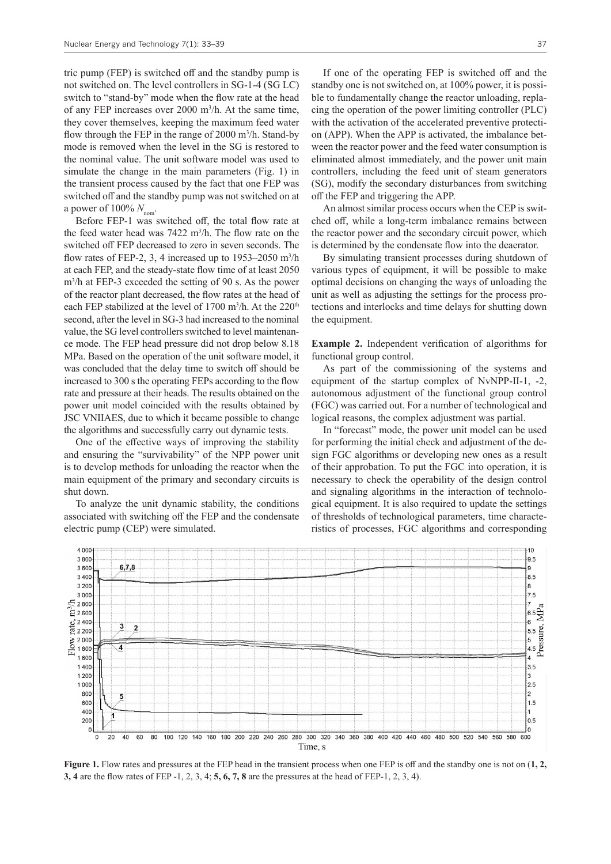tric pump (FEP) is switched off and the standby pump is not switched on. The level controllers in SG-1-4 (SG LC) switch to "stand-by" mode when the flow rate at the head of any FEP increases over 2000 m3 /h. At the same time, they cover themselves, keeping the maximum feed water flow through the FEP in the range of 2000 m<sup>3</sup>/h. Stand-by mode is removed when the level in the SG is restored to the nominal value. The unit software model was used to simulate the change in the main parameters (Fig. 1) in the transient process caused by the fact that one FEP was switched off and the standby pump was not switched on at a power of  $100\%$   $N_{\text{nom}}$ .

Before FEP-1 was switched off, the total flow rate at the feed water head was 7422 m<sup>3</sup>/h. The flow rate on the switched off FEP decreased to zero in seven seconds. The flow rates of FEP-2, 3, 4 increased up to  $1953-2050$  m<sup>3</sup>/h at each FEP, and the steady-state flow time of at least 2050 m3 /h at FEP-3 exceeded the setting of 90 s. As the power of the reactor plant decreased, the flow rates at the head of each FEP stabilized at the level of 1700 m<sup>3</sup>/h. At the  $220<sup>th</sup>$ second, after the level in SG-3 had increased to the nominal value, the SG level controllers switched to level maintenance mode. The FEP head pressure did not drop below 8.18 MPa. Based on the operation of the unit software model, it was concluded that the delay time to switch off should be increased to 300 s the operating FEPs according to the flow rate and pressure at their heads. The results obtained on the power unit model coincided with the results obtained by JSC VNIIAES, due to which it became possible to change the algorithms and successfully carry out dynamic tests.

One of the effective ways of improving the stability and ensuring the "survivability" of the NPP power unit is to develop methods for unloading the reactor when the main equipment of the primary and secondary circuits is shut down.

To analyze the unit dynamic stability, the conditions associated with switching off the FEP and the condensate electric pump (CEP) were simulated.

If one of the operating FEP is switched off and the standby one is not switched on, at 100% power, it is possible to fundamentally change the reactor unloading, replacing the operation of the power limiting controller (PLC) with the activation of the accelerated preventive protection (APP). When the APP is activated, the imbalance between the reactor power and the feed water consumption is eliminated almost immediately, and the power unit main controllers, including the feed unit of steam generators (SG), modify the secondary disturbances from switching off the FEP and triggering the APP.

An almost similar process occurs when the CEP is switched off, while a long-term imbalance remains between the reactor power and the secondary circuit power, which is determined by the condensate flow into the deaerator.

By simulating transient processes during shutdown of various types of equipment, it will be possible to make optimal decisions on changing the ways of unloading the unit as well as adjusting the settings for the process protections and interlocks and time delays for shutting down the equipment.

**Example 2.** Independent verification of algorithms for functional group control.

As part of the commissioning of the systems and equipment of the startup complex of NvNPP-II-1, -2, autonomous adjustment of the functional group control (FGC) was carried out. For a number of technological and logical reasons, the complex adjustment was partial.

In "forecast" mode, the power unit model can be used for performing the initial check and adjustment of the design FGC algorithms or developing new ones as a result of their approbation. To put the FGC into operation, it is necessary to check the operability of the design control and signaling algorithms in the interaction of technological equipment. It is also required to update the settings of thresholds of technological parameters, time characteristics of processes, FGC algorithms and corresponding



**Figure 1.** Flow rates and pressures at the FEP head in the transient process when one FEP is off and the standby one is not on (**1, 2, 3, 4** are the flow rates of FEP -1, 2, 3, 4; **5, 6, 7, 8** are the pressures at the head of FEP-1, 2, 3, 4).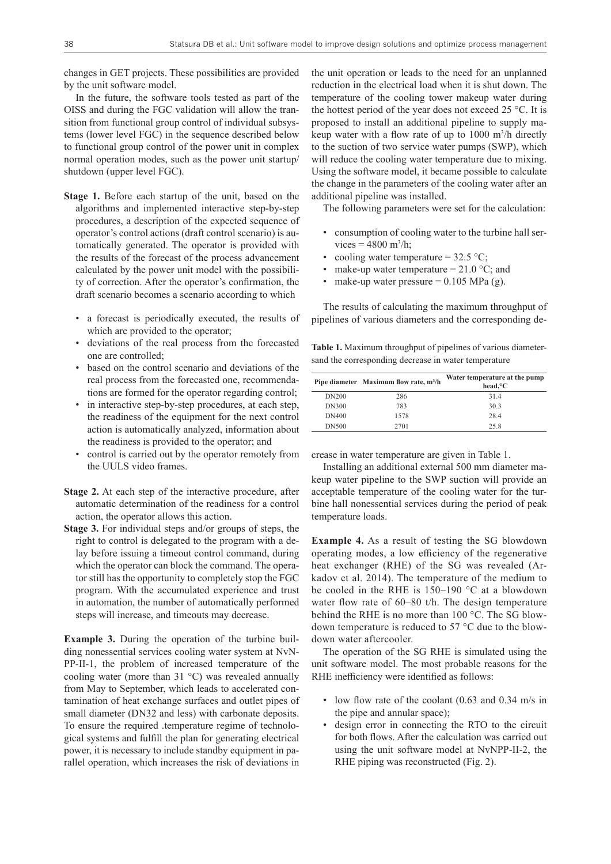changes in GET projects. These possibilities are provided by the unit software model.

In the future, the software tools tested as part of the OISS and during the FGC validation will allow the transition from functional group control of individual subsystems (lower level FGC) in the sequence described below to functional group control of the power unit in complex normal operation modes, such as the power unit startup/ shutdown (upper level FGC).

- **Stage 1.** Before each startup of the unit, based on the algorithms and implemented interactive step-by-step procedures, a description of the expected sequence of operator's control actions (draft control scenario) is automatically generated. The operator is provided with the results of the forecast of the process advancement calculated by the power unit model with the possibility of correction. After the operator's confirmation, the draft scenario becomes a scenario according to which
	- a forecast is periodically executed, the results of which are provided to the operator;
	- deviations of the real process from the forecasted one are controlled;
	- based on the control scenario and deviations of the real process from the forecasted one, recommendations are formed for the operator regarding control;
	- in interactive step-by-step procedures, at each step, the readiness of the equipment for the next control action is automatically analyzed, information about the readiness is provided to the operator; and
	- control is carried out by the operator remotely from the UULS video frames.
- **Stage 2.** At each step of the interactive procedure, after automatic determination of the readiness for a control action, the operator allows this action.
- **Stage 3.** For individual steps and/or groups of steps, the right to control is delegated to the program with a delay before issuing a timeout control command, during which the operator can block the command. The operator still has the opportunity to completely stop the FGC program. With the accumulated experience and trust in automation, the number of automatically performed steps will increase, and timeouts may decrease.

**Example 3.** During the operation of the turbine building nonessential services cooling water system at NvN-PP-II-1, the problem of increased temperature of the cooling water (more than 31 °C) was revealed annually from May to September, which leads to accelerated contamination of heat exchange surfaces and outlet pipes of small diameter (DN32 and less) with carbonate deposits. To ensure the required .temperature regime of technological systems and fulfill the plan for generating electrical power, it is necessary to include standby equipment in parallel operation, which increases the risk of deviations in

the unit operation or leads to the need for an unplanned reduction in the electrical load when it is shut down. The temperature of the cooling tower makeup water during the hottest period of the year does not exceed 25 °C. It is proposed to install an additional pipeline to supply makeup water with a flow rate of up to 1000 m<sup>3</sup> /h directly to the suction of two service water pumps (SWP), which will reduce the cooling water temperature due to mixing. Using the software model, it became possible to calculate the change in the parameters of the cooling water after an additional pipeline was installed.

The following parameters were set for the calculation:

- consumption of cooling water to the turbine hall ser $vices = 4800 \text{ m}^3/h;$
- cooling water temperature =  $32.5$  °C;
- make-up water temperature =  $21.0$  °C; and
- make-up water pressure  $= 0.105$  MPa (g).

The results of calculating the maximum throughput of pipelines of various diameters and the corresponding de-

**Table 1.** Maximum throughput of pipelines of various diametersand the corresponding decrease in water temperature

|              | Pipe diameter Maximum flow rate, m <sup>3</sup> /h | Water temperature at the pump<br>head, °C |
|--------------|----------------------------------------------------|-------------------------------------------|
| <b>DN200</b> | 286                                                | 31.4                                      |
| <b>DN300</b> | 783                                                | 30.3                                      |
| <b>DN400</b> | 1578                                               | 28.4                                      |
| <b>DN500</b> | 2701                                               | 25.8                                      |

crease in water temperature are given in Table 1.

Installing an additional external 500 mm diameter makeup water pipeline to the SWP suction will provide an acceptable temperature of the cooling water for the turbine hall nonessential services during the period of peak temperature loads.

**Example 4.** As a result of testing the SG blowdown operating modes, a low efficiency of the regenerative heat exchanger (RHE) of the SG was revealed (Arkadov et al. 2014). The temperature of the medium to be cooled in the RHE is 150–190 °C at a blowdown water flow rate of 60–80 t/h. The design temperature behind the RHE is no more than 100 °С. The SG blowdown temperature is reduced to 57 °C due to the blowdown water aftercooler.

The operation of the SG RHE is simulated using the unit software model. The most probable reasons for the RHE inefficiency were identified as follows:

- low flow rate of the coolant (0.63 and 0.34 m/s in the pipe and annular space);
- design error in connecting the RTO to the circuit for both flows. After the calculation was carried out using the unit software model at NvNPP-II-2, the RHE piping was reconstructed (Fig. 2).